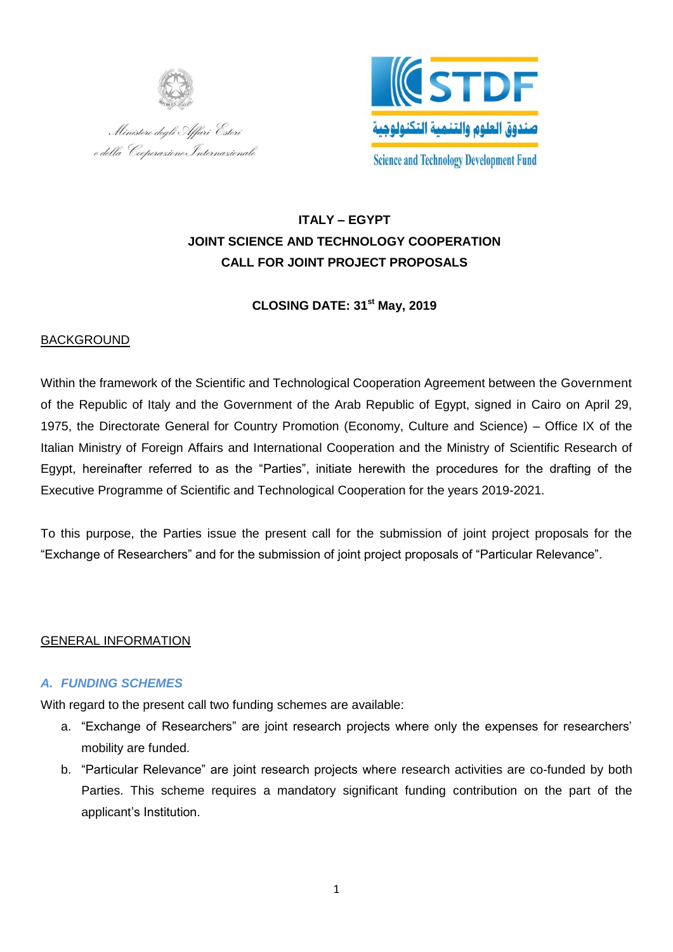



# **ITALY – EGYPT JOINT SCIENCE AND TECHNOLOGY COOPERATION CALL FOR JOINT PROJECT PROPOSALS**

# **CLOSING DATE: 31st May, 2019**

### BACKGROUND

Within the framework of the Scientific and Technological Cooperation Agreement between the Government of the Republic of Italy and the Government of the Arab Republic of Egypt, signed in Cairo on April 29, 1975, the Directorate General for Country Promotion (Economy, Culture and Science) – Office IX of the Italian Ministry of Foreign Affairs and International Cooperation and the Ministry of Scientific Research of Egypt, hereinafter referred to as the "Parties", initiate herewith the procedures for the drafting of the Executive Programme of Scientific and Technological Cooperation for the years 2019-2021.

To this purpose, the Parties issue the present call for the submission of joint project proposals for the "Exchange of Researchers" and for the submission of joint project proposals of "Particular Relevance".

# GENERAL INFORMATION

# *A. FUNDING SCHEMES*

With regard to the present call two funding schemes are available:

- a. "Exchange of Researchers" are joint research projects where only the expenses for researchers' mobility are funded.
- b. "Particular Relevance" are joint research projects where research activities are co-funded by both Parties. This scheme requires a mandatory significant funding contribution on the part of the applicant's Institution.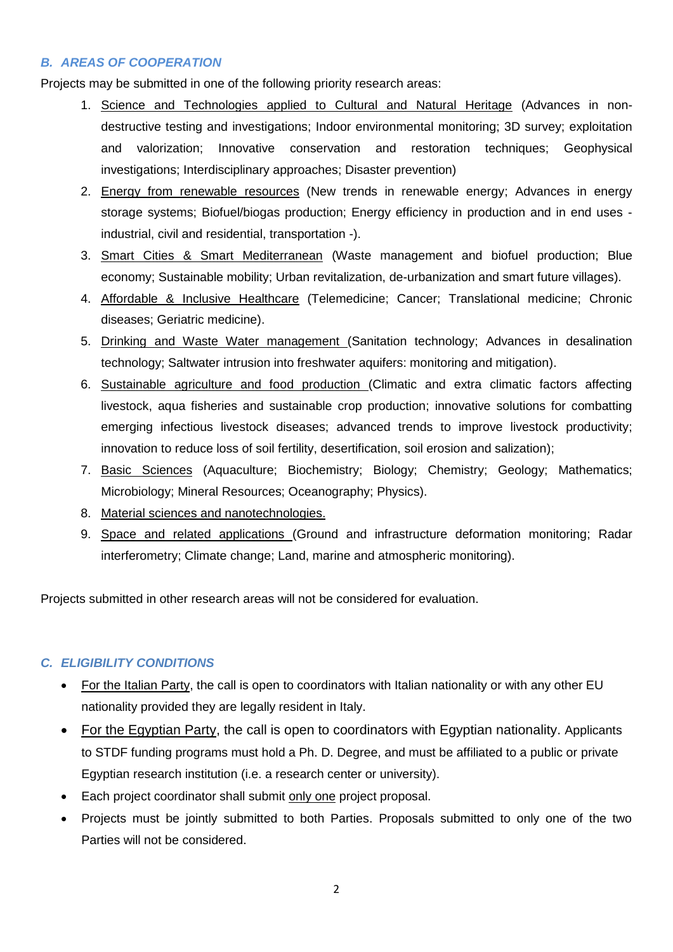# *B. AREAS OF COOPERATION*

Projects may be submitted in one of the following priority research areas:

- 1. Science and Technologies applied to Cultural and Natural Heritage (Advances in nondestructive testing and investigations; Indoor environmental monitoring; 3D survey; exploitation and valorization; Innovative conservation and restoration techniques; Geophysical investigations; Interdisciplinary approaches; Disaster prevention)
- 2. Energy from renewable resources (New trends in renewable energy; Advances in energy storage systems; Biofuel/biogas production; Energy efficiency in production and in end uses industrial, civil and residential, transportation -).
- 3. Smart Cities & Smart Mediterranean (Waste management and biofuel production; Blue economy; Sustainable mobility; Urban revitalization, de-urbanization and smart future villages).
- 4. Affordable & Inclusive Healthcare (Telemedicine; Cancer; Translational medicine; Chronic diseases; Geriatric medicine).
- 5. Drinking and Waste Water management (Sanitation technology; Advances in desalination technology; Saltwater intrusion into freshwater aquifers: monitoring and mitigation).
- 6. Sustainable agriculture and food production (Climatic and extra climatic factors affecting livestock, aqua fisheries and sustainable crop production; innovative solutions for combatting emerging infectious livestock diseases; advanced trends to improve livestock productivity; innovation to reduce loss of soil fertility, desertification, soil erosion and salization);
- 7. Basic Sciences (Aquaculture; Biochemistry; Biology; Chemistry; Geology; Mathematics; Microbiology; Mineral Resources; Oceanography; Physics).
- 8. Material sciences and nanotechnologies.
- 9. Space and related applications (Ground and infrastructure deformation monitoring; Radar interferometry; Climate change; Land, marine and atmospheric monitoring).

Projects submitted in other research areas will not be considered for evaluation.

# *C. ELIGIBILITY CONDITIONS*

- For the Italian Party, the call is open to coordinators with Italian nationality or with any other EU nationality provided they are legally resident in Italy.
- For the Egyptian Party, the call is open to coordinators with Egyptian nationality. Applicants to STDF funding programs must hold a Ph. D. Degree, and must be affiliated to a public or private Egyptian research institution (i.e. a research center or university).
- Each project coordinator shall submit only one project proposal.
- Projects must be jointly submitted to both Parties. Proposals submitted to only one of the two Parties will not be considered.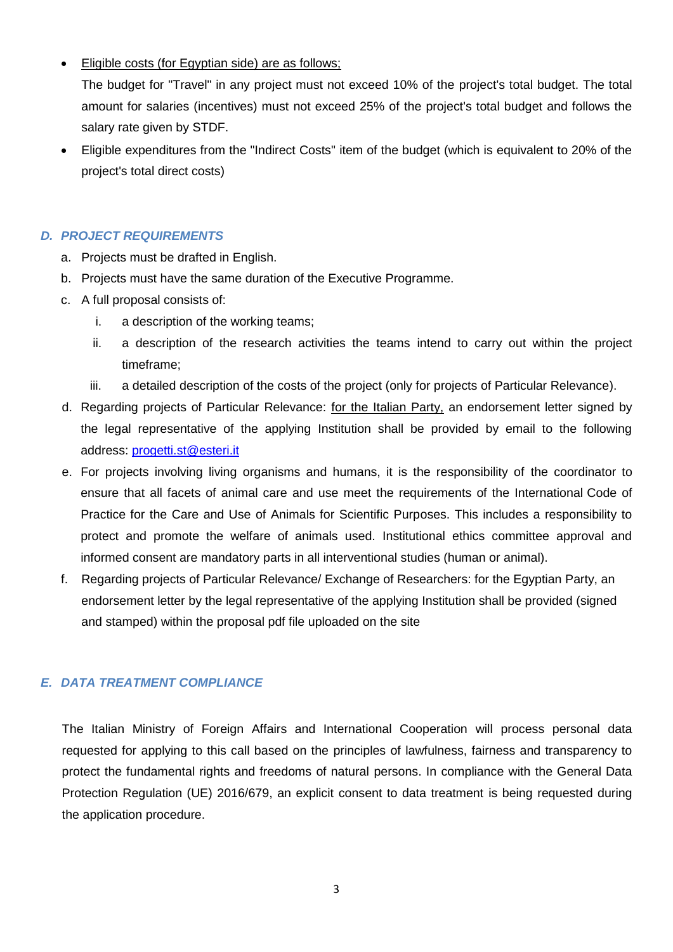Eligible costs (for Egyptian side) are as follows;

The budget for "Travel" in any project must not exceed 10% of the project's total budget. The total amount for salaries (incentives) must not exceed 25% of the project's total budget and follows the salary rate given by STDF.

 Eligible expenditures from the "Indirect Costs" item of the budget (which is equivalent to 20% of the project's total direct costs)

# *D. PROJECT REQUIREMENTS*

- a. Projects must be drafted in English.
- b. Projects must have the same duration of the Executive Programme.
- c. A full proposal consists of:
	- i. a description of the working teams;
	- ii. a description of the research activities the teams intend to carry out within the project timeframe;
	- iii. a detailed description of the costs of the project (only for projects of Particular Relevance).
- d. Regarding projects of Particular Relevance: for the Italian Party, an endorsement letter signed by the legal representative of the applying Institution shall be provided by email to the following address: [progetti.st@esteri.it](mailto:progetti.st@esteri.it)
- e. For projects involving living organisms and humans, it is the responsibility of the coordinator to ensure that all facets of animal care and use meet the requirements of the International Code of Practice for the Care and Use of Animals for Scientific Purposes. This includes a responsibility to protect and promote the welfare of animals used. Institutional ethics committee approval and informed consent are mandatory parts in all interventional studies (human or animal).
- f. Regarding projects of Particular Relevance/ Exchange of Researchers: for the Egyptian Party, an endorsement letter by the legal representative of the applying Institution shall be provided (signed and stamped) within the proposal pdf file uploaded on the site

# *E. DATA TREATMENT COMPLIANCE*

The Italian Ministry of Foreign Affairs and International Cooperation will process personal data requested for applying to this call based on the principles of lawfulness, fairness and transparency to protect the fundamental rights and freedoms of natural persons. In compliance with the General Data Protection Regulation (UE) 2016/679, an explicit consent to data treatment is being requested during the application procedure.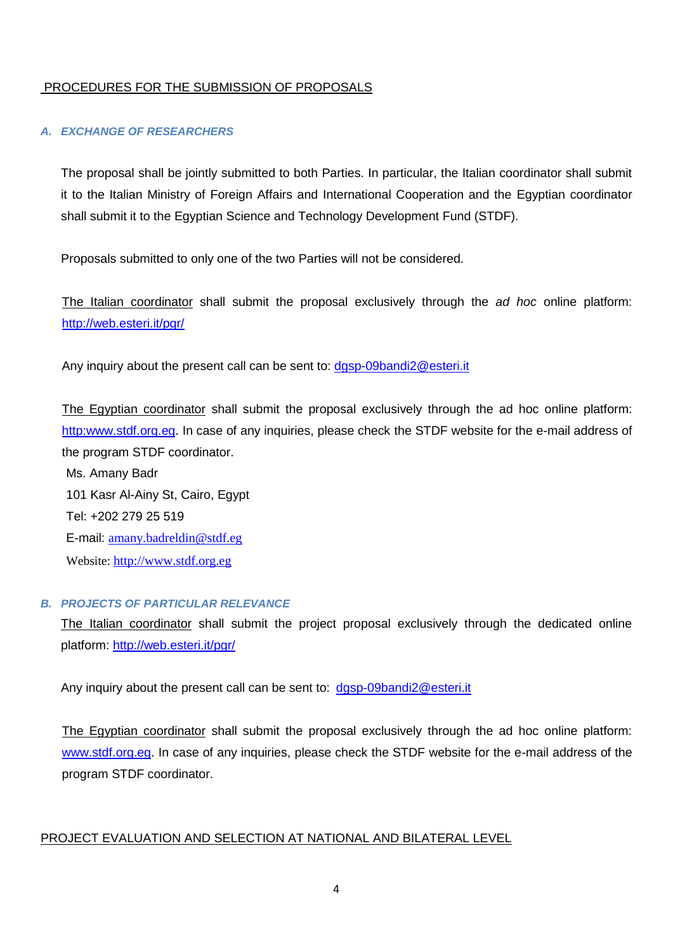### PROCEDURES FOR THE SUBMISSION OF PROPOSALS

#### *A. EXCHANGE OF RESEARCHERS*

The proposal shall be jointly submitted to both Parties. In particular, the Italian coordinator shall submit it to the Italian Ministry of Foreign Affairs and International Cooperation and the Egyptian coordinator shall submit it to the Egyptian Science and Technology Development Fund (STDF).

Proposals submitted to only one of the two Parties will not be considered.

The Italian coordinator shall submit the proposal exclusively through the *ad hoc* online platform: <http://web.esteri.it/pgr/>

Any inquiry about the present call can be sent to: dgsp-09bandi2@esteri.it

The Egyptian coordinator shall submit the proposal exclusively through the ad hoc online platform: http[:www.stdf.org.eg.](http://www.stdf.org.eg/) In case of any inquiries, please check the STDF website for the e-mail address of the program STDF coordinator.

Ms. Amany Badr 101 Kasr Al-Ainy St, Cairo, Egypt Tel: +202 279 25 519 E-mail: [amany.badreldin@stdf.eg](mailto:amany.badreldin@stdf.eg) Website: [http://www.stdf.org.eg](http://www.stdf.org.eg/)

#### *B. PROJECTS OF PARTICULAR RELEVANCE*

The Italian coordinator shall submit the project proposal exclusively through the dedicated online platform:<http://web.esteri.it/pgr/>

Any inquiry about the present call can be sent to: dgsp-09bandi2@esteri.it

The Egyptian coordinator shall submit the proposal exclusively through the ad hoc online platform: [www.stdf.org.eg.](http://www.stdf.org.eg/) In case of any inquiries, please check the STDF website for the e-mail address of the program STDF coordinator.

#### PROJECT EVALUATION AND SELECTION AT NATIONAL AND BILATERAL LEVEL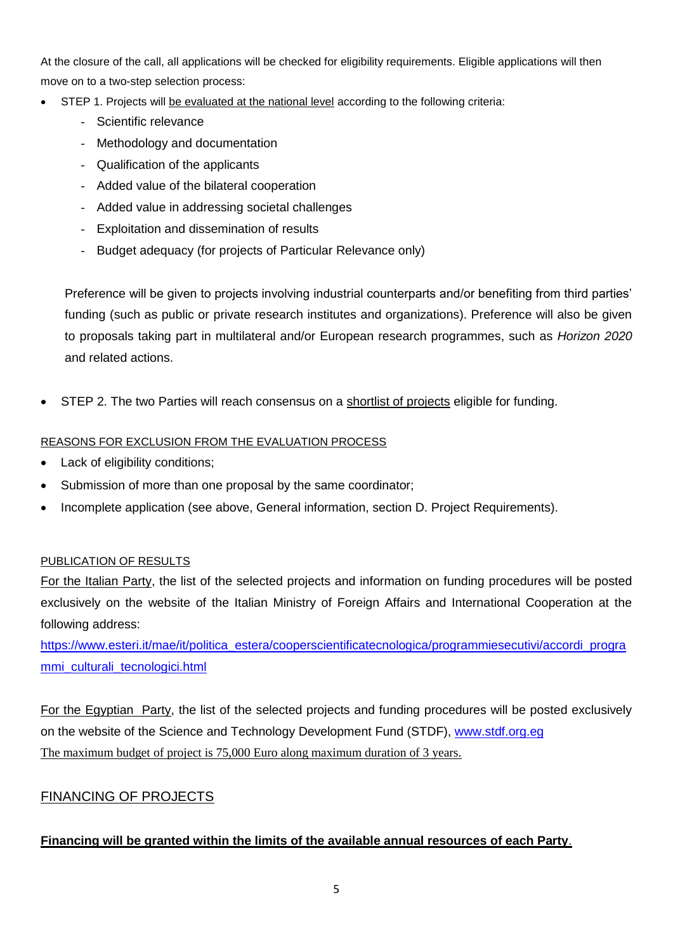At the closure of the call, all applications will be checked for eligibility requirements. Eligible applications will then move on to a two-step selection process:

- STEP 1. Projects will be evaluated at the national level according to the following criteria:
	- Scientific relevance
	- Methodology and documentation
	- Qualification of the applicants
	- Added value of the bilateral cooperation
	- Added value in addressing societal challenges
	- Exploitation and dissemination of results
	- Budget adequacy (for projects of Particular Relevance only)

Preference will be given to projects involving industrial counterparts and/or benefiting from third parties' funding (such as public or private research institutes and organizations). Preference will also be given to proposals taking part in multilateral and/or European research programmes, such as *Horizon 2020* and related actions.

STEP 2. The two Parties will reach consensus on a shortlist of projects eligible for funding.

# REASONS FOR EXCLUSION FROM THE EVALUATION PROCESS

- Lack of eligibility conditions;
- Submission of more than one proposal by the same coordinator;
- Incomplete application (see above, General information, section D. Project Requirements).

# PUBLICATION OF RESULTS

For the Italian Party, the list of the selected projects and information on funding procedures will be posted exclusively on the website of the Italian Ministry of Foreign Affairs and International Cooperation at the following address:

[https://www.esteri.it/mae/it/politica\\_estera/cooperscientificatecnologica/programmiesecutivi/accordi\\_progra](https://www.esteri.it/mae/it/politica_estera/cooperscientificatecnologica/programmiesecutivi/accordi_programmi_culturali_tecnologici.html) [mmi\\_culturali\\_tecnologici.html](https://www.esteri.it/mae/it/politica_estera/cooperscientificatecnologica/programmiesecutivi/accordi_programmi_culturali_tecnologici.html)

For the Egyptian Party, the list of the selected projects and funding procedures will be posted exclusively on the website of the Science and Technology Development Fund (STDF), [www.stdf.org.eg](http://www.stdf.org.eg/) The maximum budget of project is 75,000 Euro along maximum duration of 3 years.

# FINANCING OF PROJECTS

# **Financing will be granted within the limits of the available annual resources of each Party**.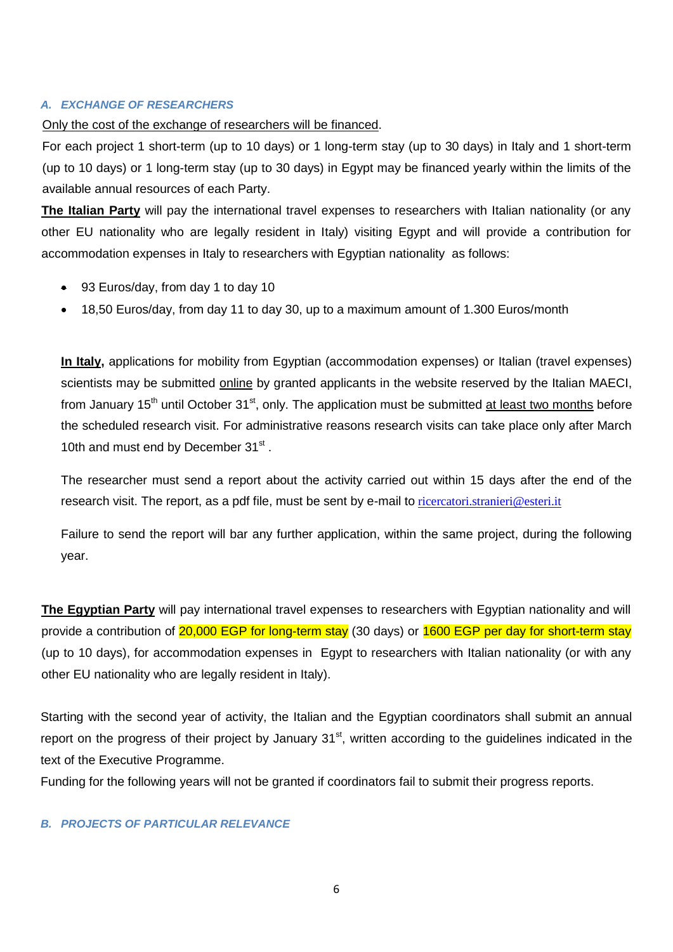#### *A. EXCHANGE OF RESEARCHERS*

#### Only the cost of the exchange of researchers will be financed.

For each project 1 short-term (up to 10 days) or 1 long-term stay (up to 30 days) in Italy and 1 short-term (up to 10 days) or 1 long-term stay (up to 30 days) in Egypt may be financed yearly within the limits of the available annual resources of each Party.

**The Italian Party** will pay the international travel expenses to researchers with Italian nationality (or any other EU nationality who are legally resident in Italy) visiting Egypt and will provide a contribution for accommodation expenses in Italy to researchers with Egyptian nationality as follows:

- 93 Euros/day, from day 1 to day 10
- 18,50 Euros/day, from day 11 to day 30, up to a maximum amount of 1.300 Euros/month

**In Italy,** applications for mobility from Egyptian (accommodation expenses) or Italian (travel expenses) scientists may be submitted online by granted applicants in the website reserved by the Italian MAECI, from January 15<sup>th</sup> until October 31<sup>st</sup>, only. The application must be submitted at least two months before the scheduled research visit. For administrative reasons research visits can take place only after March 10th and must end by December 31st.

The researcher must send a report about the activity carried out within 15 days after the end of the research visit. The report, as a pdf file, must be sent by e-mail to [ricercatori.stranieri@esteri.it](mailto:ricercatori.stranieri@esteri.it)

Failure to send the report will bar any further application, within the same project, during the following year.

**The Egyptian Party** will pay international travel expenses to researchers with Egyptian nationality and will provide a contribution of 20,000 EGP for long-term stay (30 days) or 1600 EGP per day for short-term stay (up to 10 days), for accommodation expenses in Egypt to researchers with Italian nationality (or with any other EU nationality who are legally resident in Italy).

Starting with the second year of activity, the Italian and the Egyptian coordinators shall submit an annual report on the progress of their project by January 31<sup>st</sup>, written according to the guidelines indicated in the text of the Executive Programme.

Funding for the following years will not be granted if coordinators fail to submit their progress reports.

#### *B. PROJECTS OF PARTICULAR RELEVANCE*